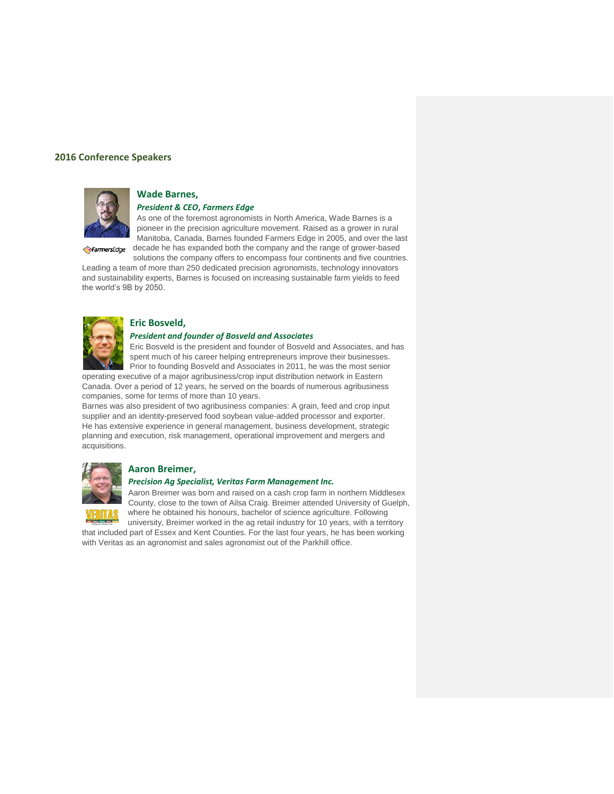#### **2016 Conference Speakers**



## **Wade Barnes,**

# *President & CEO***,** *Farmers Edge*

As one of the foremost agronomists in North America, Wade Barnes is a pioneer in the precision agriculture movement. Raised as a grower in rural Manitoba, Canada, Barnes founded Farmers Edge in 2005, and over the last FarmersEdge decade he has expanded both the company and the range of grower-based

solutions the company offers to encompass four continents and five countries. Leading a team of more than 250 dedicated precision agronomists, technology innovators and sustainability experts, Barnes is focused on increasing sustainable farm yields to feed the world's 9B by 2050.



#### **Eric Bosveld,**

#### *President and founder of Bosveld and Associates*

Eric Bosveld is the president and founder of Bosveld and Associates, and has spent much of his career helping entrepreneurs improve their businesses. Prior to founding Bosveld and Associates in 2011, he was the most senior

operating executive of a major agribusiness/crop input distribution network in Eastern Canada. Over a period of 12 years, he served on the boards of numerous agribusiness companies, some for terms of more than 10 years.

Barnes was also president of two agribusiness companies: A grain, feed and crop input supplier and an identity-preserved food soybean value-added processor and exporter. He has extensive experience in general management, business development, strategic planning and execution, risk management, operational improvement and mergers and acquisitions.



#### **Aaron Breimer,**

#### *Precision Ag Specialist, Veritas Farm Management Inc.*

Aaron Breimer was born and raised on a cash crop farm in northern Middlesex County, close to the town of Ailsa Craig. Breimer attended University of Guelph, where he obtained his honours, bachelor of science agriculture. Following

university, Breimer worked in the ag retail industry for 10 years, with a territory that included part of Essex and Kent Counties. For the last four years, he has been working with Veritas as an agronomist and sales agronomist out of the Parkhill office.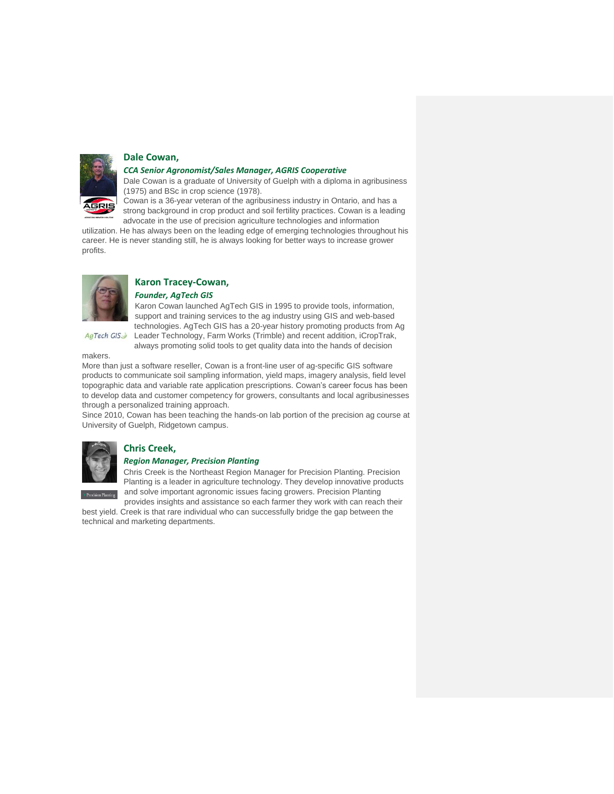

#### **Dale Cowan,**

#### *CCA Senior Agronomist/Sales Manager, AGRIS Cooperative*

Dale Cowan is a graduate of University of Guelph with a diploma in agribusiness (1975) and BSc in crop science (1978).

Cowan is a 36-year veteran of the agribusiness industry in Ontario, and has a strong background in crop product and soil fertility practices. Cowan is a leading advocate in the use of precision agriculture technologies and information

utilization. He has always been on the leading edge of emerging technologies throughout his career. He is never standing still, he is always looking for better ways to increase grower profits.



AgTech GIS

# **Karon Tracey-Cowan,**

*Founder, AgTech GIS*

Karon Cowan launched AgTech GIS in 1995 to provide tools, information, support and training services to the ag industry using GIS and web-based technologies. AgTech GIS has a 20-year history promoting products from Ag Leader Technology, Farm Works (Trimble) and recent addition, iCropTrak, always promoting solid tools to get quality data into the hands of decision

makers.

More than just a software reseller, Cowan is a front-line user of ag-specific GIS software products to communicate soil sampling information, yield maps, imagery analysis, field level topographic data and variable rate application prescriptions. Cowan's career focus has been to develop data and customer competency for growers, consultants and local agribusinesses through a personalized training approach.

Since 2010, Cowan has been teaching the hands-on lab portion of the precision ag course at University of Guelph, Ridgetown campus.



#### **Chris Creek,**  *Region Manager, Precision Planting*

Chris Creek is the Northeast Region Manager for Precision Planting. Precision Planting is a leader in agriculture technology. They develop innovative products

and solve important agronomic issues facing growers. Precision Planting provides insights and assistance so each farmer they work with can reach their

best yield. Creek is that rare individual who can successfully bridge the gap between the technical and marketing departments.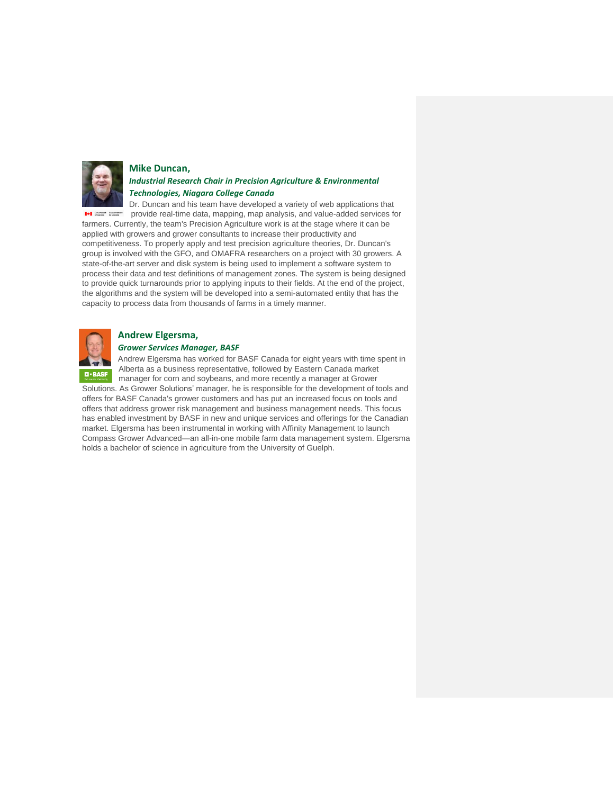

#### **Mike Duncan,**

## *Industrial Research Chair in Precision Agriculture & Environmental Technologies, Niagara College Canada*

Dr. Duncan and his team have developed a variety of web applications that provide real-time data, mapping, map analysis, and value-added services for farmers. Currently, the team's Precision Agriculture work is at the stage where it can be applied with growers and grower consultants to increase their productivity and competitiveness. To properly apply and test precision agriculture theories, Dr. Duncan's group is involved with the GFO, and OMAFRA researchers on a project with 30 growers. A state-of-the-art server and disk system is being used to implement a software system to process their data and test definitions of management zones. The system is being designed to provide quick turnarounds prior to applying inputs to their fields. At the end of the project, the algorithms and the system will be developed into a semi-automated entity that has the capacity to process data from thousands of farms in a timely manner.



#### **Andrew Elgersma,**

#### *Grower Services Manager, BASF*

Andrew Elgersma has worked for BASF Canada for eight years with time spent in Alberta as a business representative, followed by Eastern Canada market manager for corn and soybeans, and more recently a manager at Grower

Solutions. As Grower Solutions' manager, he is responsible for the development of tools and offers for BASF Canada's grower customers and has put an increased focus on tools and offers that address grower risk management and business management needs. This focus has enabled investment by BASF in new and unique services and offerings for the Canadian market. Elgersma has been instrumental in working with Affinity Management to launch Compass Grower Advanced—an all-in-one mobile farm data management system. Elgersma holds a bachelor of science in agriculture from the University of Guelph.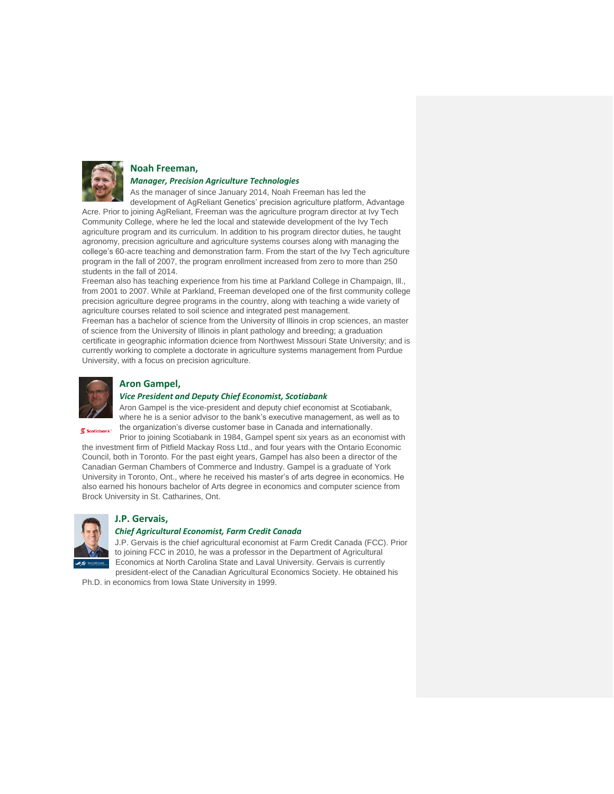

## **Noah Freeman,**

# *Manager, Precision Agriculture Technologies*

As the manager of since January 2014, Noah Freeman has led the

development of AgReliant Genetics' precision agriculture platform, Advantage Acre. Prior to joining AgReliant, Freeman was the agriculture program director at Ivy Tech Community College, where he led the local and statewide development of the Ivy Tech agriculture program and its curriculum. In addition to his program director duties, he taught agronomy, precision agriculture and agriculture systems courses along with managing the college's 60-acre teaching and demonstration farm. From the start of the Ivy Tech agriculture program in the fall of 2007, the program enrollment increased from zero to more than 250 students in the fall of 2014.

Freeman also has teaching experience from his time at Parkland College in Champaign, Ill., from 2001 to 2007. While at Parkland, Freeman developed one of the first community college precision agriculture degree programs in the country, along with teaching a wide variety of agriculture courses related to soil science and integrated pest management.

Freeman has a bachelor of science from the University of Illinois in crop sciences, an master of science from the University of Illinois in plant pathology and breeding; a graduation certificate in geographic information dcience from Northwest Missouri State University; and is currently working to complete a doctorate in agriculture systems management from Purdue University, with a focus on precision agriculture.



## **Aron Gampel,**

#### *Vice President and Deputy Chief Economist, Scotiabank*

Aron Gampel is the vice-president and deputy chief economist at Scotiabank, where he is a senior advisor to the bank's executive management, as well as to the organization's diverse customer base in Canada and internationally.

 $S$  Scotiabank

Prior to joining Scotiabank in 1984, Gampel spent six years as an economist with the investment firm of Pitfield Mackay Ross Ltd., and four years with the Ontario Economic Council, both in Toronto. For the past eight years, Gampel has also been a director of the Canadian German Chambers of Commerce and Industry. Gampel is a graduate of York University in Toronto, Ont., where he received his master's of arts degree in economics. He also earned his honours bachelor of Arts degree in economics and computer science from Brock University in St. Catharines, Ont.



# **J.P. Gervais,**

#### *Chief Agricultural Economist, Farm Credit Canada*

J.P. Gervais is the chief agricultural economist at Farm Credit Canada (FCC). Prior to joining FCC in 2010, he was a professor in the Department of Agricultural Economics at North Carolina State and Laval University. Gervais is currently president-elect of the Canadian Agricultural Economics Society. He obtained his

Ph.D. in economics from Iowa State University in 1999.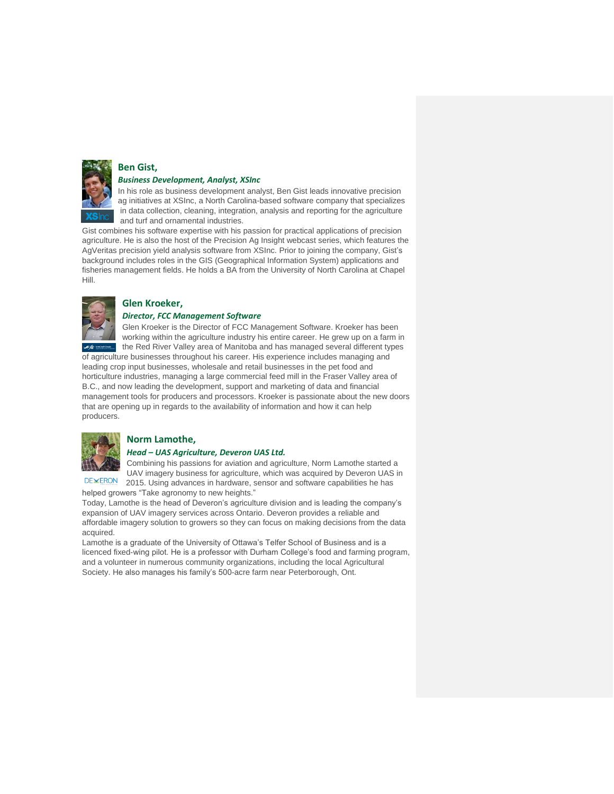

# **Ben Gist,**

#### *Business Development, Analyst, XSInc*

In his role as business development analyst, Ben Gist leads innovative precision ag initiatives at XSInc, a North Carolina-based software company that specializes in data collection, cleaning, integration, analysis and reporting for the agriculture and turf and ornamental industries.

Gist combines his software expertise with his passion for practical applications of precision agriculture. He is also the host of the Precision Ag Insight webcast series, which features the AgVeritas precision yield analysis software from XSInc. Prior to joining the company, Gist's background includes roles in the GIS (Geographical Information System) applications and fisheries management fields. He holds a BA from the University of North Carolina at Chapel Hill.



## **Glen Kroeker,**

## *Director, FCC Management Software*

Glen Kroeker is the Director of FCC Management Software. Kroeker has been working within the agriculture industry his entire career. He grew up on a farm in the Red River Valley area of Manitoba and has managed several different types of agriculture businesses throughout his career. His experience includes managing and

leading crop input businesses, wholesale and retail businesses in the pet food and horticulture industries, managing a large commercial feed mill in the Fraser Valley area of B.C., and now leading the development, support and marketing of data and financial management tools for producers and processors. Kroeker is passionate about the new doors that are opening up in regards to the availability of information and how it can help producers.



## **Norm Lamothe,**

#### *Head – UAS Agriculture, Deveron UAS Ltd.*

Combining his passions for aviation and agriculture, Norm Lamothe started a UAV imagery business for agriculture, which was acquired by Deveron UAS in **DEXERON** 2015. Using advances in hardware, sensor and software capabilities he has helped growers "Take agronomy to new heights."

Today, Lamothe is the head of Deveron's agriculture division and is leading the company's expansion of UAV imagery services across Ontario. Deveron provides a reliable and affordable imagery solution to growers so they can focus on making decisions from the data acquired.

Lamothe is a graduate of the University of Ottawa's Telfer School of Business and is a licenced fixed-wing pilot. He is a professor with Durham College's food and farming program, and a volunteer in numerous community organizations, including the local Agricultural Society. He also manages his family's 500-acre farm near Peterborough, Ont.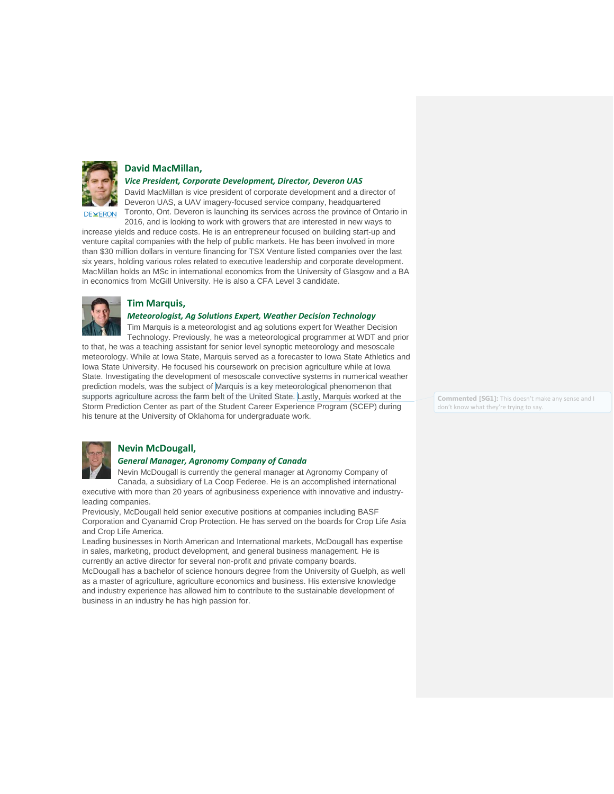

## **David MacMillan,**

*Vice President, Corporate Development, Director, Deveron UAS*

David MacMillan is vice president of corporate development and a director of Deveron UAS, a UAV imagery-focused service company, headquartered Toronto, Ont. Deveron is launching its services across the province of Ontario in 2016, and is looking to work with growers that are interested in new ways to

increase yields and reduce costs. He is an entrepreneur focused on building start-up and venture capital companies with the help of public markets. He has been involved in more than \$30 million dollars in venture financing for TSX Venture listed companies over the last six years, holding various roles related to executive leadership and corporate development. MacMillan holds an MSc in international economics from the University of Glasgow and a BA in economics from McGill University. He is also a CFA Level 3 candidate.



#### **Tim Marquis,**

#### *Meteorologist, Ag Solutions Expert, Weather Decision Technology*

Tim Marquis is a meteorologist and ag solutions expert for Weather Decision Technology. Previously, he was a meteorological programmer at WDT and prior to that, he was a teaching assistant for senior level synoptic meteorology and mesoscale meteorology. While at Iowa State, Marquis served as a forecaster to Iowa State Athletics and Iowa State University. He focused his coursework on precision agriculture while at Iowa State. Investigating the development of mesoscale convective systems in numerical weather prediction models, was the subject of Marquis is a key meteorological phenomenon that supports agriculture across the farm belt of the United State. Lastly, Marquis worked at the Storm Prediction Center as part of the Student Career Experience Program (SCEP) during

**Commented [SG1]:** This doesn't make any sense and I don't know what they're trying to say.



### **Nevin McDougall,**

#### *General Manager, Agronomy Company of Canada*

his tenure at the University of Oklahoma for undergraduate work.

Nevin McDougall is currently the general manager at Agronomy Company of Canada, a subsidiary of La Coop Federee. He is an accomplished international

executive with more than 20 years of agribusiness experience with innovative and industryleading companies.

Previously, McDougall held senior executive positions at companies including BASF Corporation and Cyanamid Crop Protection. He has served on the boards for Crop Life Asia and Crop Life America.

Leading businesses in North American and International markets, McDougall has expertise in sales, marketing, product development, and general business management. He is currently an active director for several non-profit and private company boards.

McDougall has a bachelor of science honours degree from the University of Guelph, as well as a master of agriculture, agriculture economics and business. His extensive knowledge and industry experience has allowed him to contribute to the sustainable development of business in an industry he has high passion for.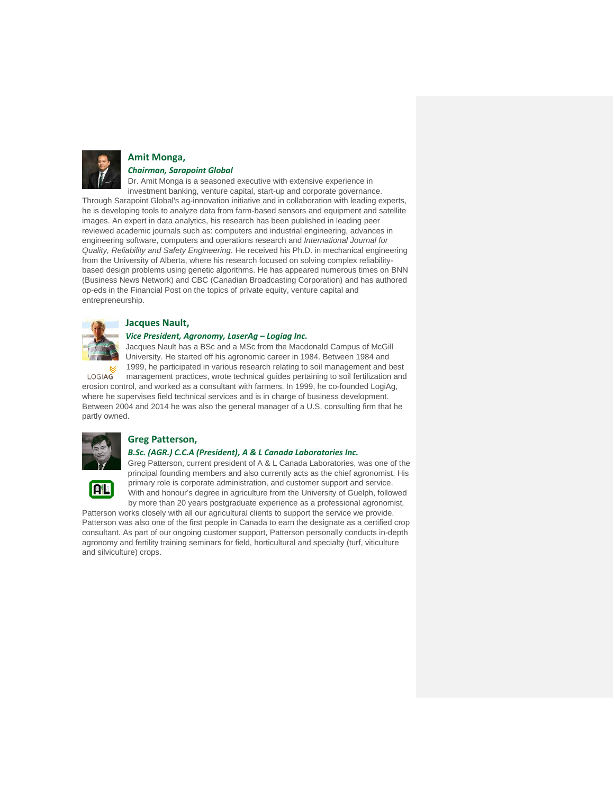

#### **Amit Monga,**  *Chairman, Sarapoint Global*

Dr. Amit Monga is a seasoned executive with extensive experience in investment banking, venture capital, start-up and corporate governance. Through Sarapoint Global's ag-innovation initiative and in collaboration with leading experts, he is developing tools to analyze data from farm-based sensors and equipment and satellite images. An expert in data analytics, his research has been published in leading peer reviewed academic journals such as: computers and industrial engineering, advances in engineering software, computers and operations research and *International Journal for Quality, Reliability and Safety Engineering*. He received his Ph.D. in mechanical engineering from the University of Alberta, where his research focused on solving complex reliabilitybased design problems using genetic algorithms. He has appeared numerous times on BNN (Business News Network) and CBC (Canadian Broadcasting Corporation) and has authored op-eds in the Financial Post on the topics of private equity, venture capital and entrepreneurship.



## **Jacques Nault,**

#### *Vice President, Agronomy, LaserAg – Logiag Inc.*

Jacques Nault has a BSc and a MSc from the Macdonald Campus of McGill University. He started off his agronomic career in 1984. Between 1984 and 1999, he participated in various research relating to soil management and best

management practices, wrote technical guides pertaining to soil fertilization and LOGIAG erosion control, and worked as a consultant with farmers. In 1999, he co-founded LogiAg, where he supervises field technical services and is in charge of business development.

Between 2004 and 2014 he was also the general manager of a U.S. consulting firm that he partly owned.



日記

# **Greg Patterson,**

#### *B.Sc. (AGR.) C.C.A (President), A & L Canada Laboratories Inc.*

Greg Patterson, current president of A & L Canada Laboratories, was one of the principal founding members and also currently acts as the chief agronomist. His primary role is corporate administration, and customer support and service. With and honour's degree in agriculture from the University of Guelph, followed by more than 20 years postgraduate experience as a professional agronomist,

Patterson works closely with all our agricultural clients to support the service we provide. Patterson was also one of the first people in Canada to earn the designate as a certified crop consultant. As part of our ongoing customer support, Patterson personally conducts in-depth agronomy and fertility training seminars for field, horticultural and specialty (turf, viticulture and silviculture) crops.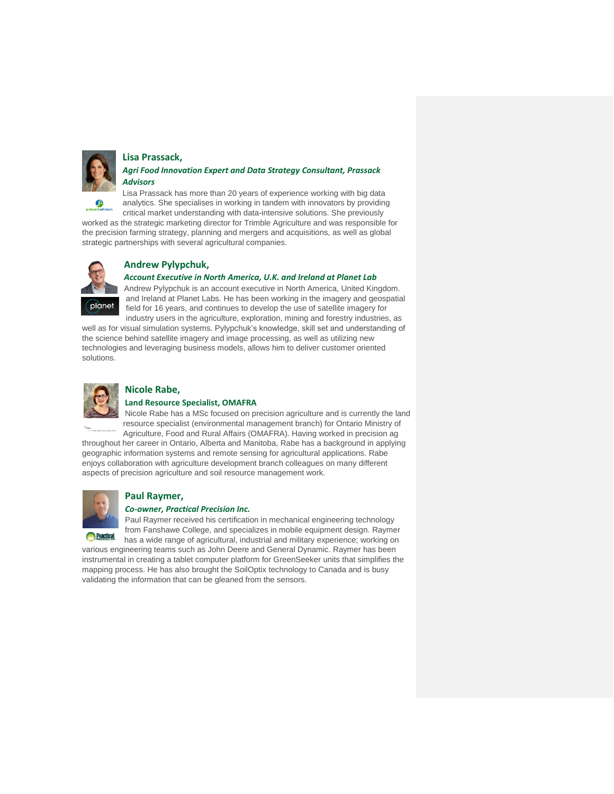

# **Lisa Prassack,**

## *Agri Food Innovation Expert and Data Strategy Consultant, Prassack Advisors*

Lisa Prassack has more than 20 years of experience working with big data analytics. She specialises in working in tandem with innovators by providing critical market understanding with data-intensive solutions. She previously

worked as the strategic marketing director for Trimble Agriculture and was responsible for the precision farming strategy, planning and mergers and acquisitions, as well as global strategic partnerships with several agricultural companies.



# **Andrew Pylypchuk,**

#### *Account Executive in North America, U.K. and Ireland at Planet Lab*

Andrew Pylypchuk is an account executive in North America, United Kingdom. and Ireland at Planet Labs. He has been working in the imagery and geospatial field for 16 years, and continues to develop the use of satellite imagery for industry users in the agriculture, exploration, mining and forestry industries, as

well as for visual simulation systems. Pylypchuk's knowledge, skill set and understanding of the science behind satellite imagery and image processing, as well as utilizing new technologies and leveraging business models, allows him to deliver customer oriented solutions.



#### **Nicole Rabe, Land Resource Specialist, OMAFRA**

Nicole Rabe has a MSc focused on precision agriculture and is currently the land resource specialist (environmental management branch) for Ontario Ministry of

Agriculture, Food and Rural Affairs (OMAFRA). Having worked in precision ag throughout her career in Ontario, Alberta and Manitoba, Rabe has a background in applying geographic information systems and remote sensing for agricultural applications. Rabe enjoys collaboration with agriculture development branch colleagues on many different aspects of precision agriculture and soil resource management work.



# **Paul Raymer,**

## *Co-owner, Practical Precision Inc.*

Paul Raymer received his certification in mechanical engineering technology from Fanshawe College, and specializes in mobile equipment design. Raymer

has a wide range of agricultural, industrial and military experience; working on various engineering teams such as John Deere and General Dynamic. Raymer has been instrumental in creating a tablet computer platform for GreenSeeker units that simplifies the mapping process. He has also brought the SoilOptix technology to Canada and is busy validating the information that can be gleaned from the sensors.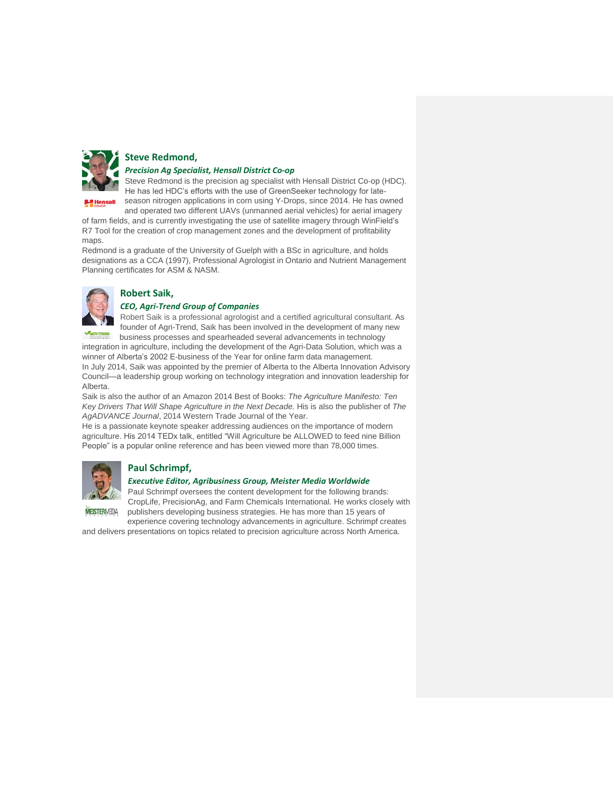

## **Steve Redmond,**  *Precision Ag Specialist, Hensall District Co-op*

Steve Redmond is the precision ag specialist with Hensall District Co-op (HDC). He has led HDC's efforts with the use of GreenSeeker technology for late-

season nitrogen applications in corn using Y-Drops, since 2014. He has owned

and operated two different UAVs (unmanned aerial vehicles) for aerial imagery of farm fields, and is currently investigating the use of satellite imagery through WinField's R7 Tool for the creation of crop management zones and the development of profitability maps.

Redmond is a graduate of the University of Guelph with a BSc in agriculture, and holds designations as a CCA (1997), Professional Agrologist in Ontario and Nutrient Management Planning certificates for ASM & NASM.



# **Robert Saik,**

## *CEO, Agri-Trend Group of Companies*

Robert Saik is a professional agrologist and a certified agricultural consultant. As founder of Agri-Trend, Saik has been involved in the development of many new business processes and spearheaded several advancements in technology

integration in agriculture, including the development of the Agri-Data Solution, which was a winner of Alberta's 2002 E-business of the Year for online farm data management.

In July 2014, Saik was appointed by the premier of Alberta to the Alberta Innovation Advisory Council—a leadership group working on technology integration and innovation leadership for Alberta.

Saik is also the author of an Amazon 2014 Best of Books: *The Agriculture Manifesto: Ten Key Drivers That Will Shape Agriculture in the Next Decade.* His is also the publisher of *The AgADVANCE Journal*, 2014 Western Trade Journal of the Year.

He is a passionate keynote speaker addressing audiences on the importance of modern agriculture. His 2014 TEDx talk, entitled "Will Agriculture be ALLOWED to feed nine Billion People" is a popular online reference and has been viewed more than 78,000 times.



# **Paul Schrimpf,**

## *Executive Editor, Agribusiness Group, Meister Media Worldwide*

Paul Schrimpf oversees the content development for the following brands: CropLife, PrecisionAg, and Farm Chemicals International. He works closely with publishers developing business strategies. He has more than 15 years of

**MEISTERMEDIA** 

experience covering technology advancements in agriculture. Schrimpf creates

and delivers presentations on topics related to precision agriculture across North America.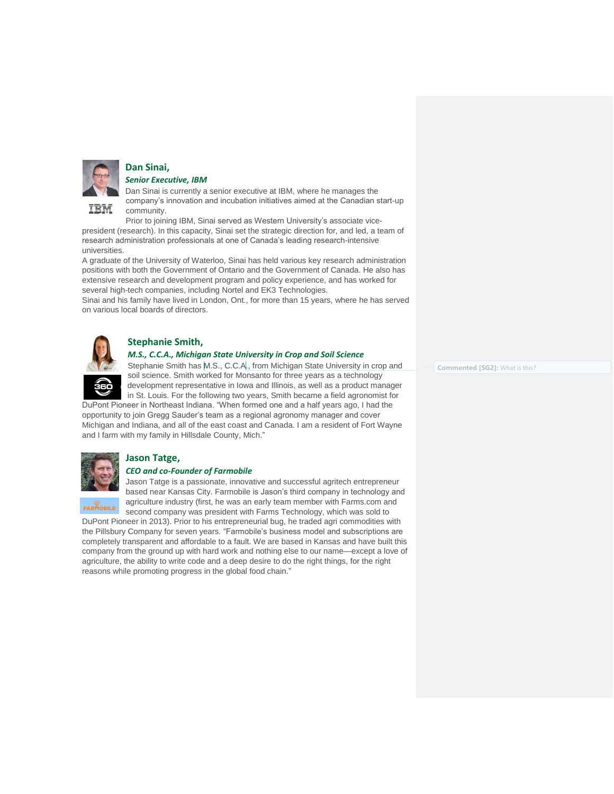

# **Dan Sinai,**

*Senior Executive, IBM*

Dan Sinai is currently a senior executive at IBM, where he manages the company's innovation and incubation initiatives aimed at the Canadian start-up community.

Prior to joining IBM, Sinai served as Western University's associate vicepresident (research). In this capacity, Sinai set the strategic direction for, and led, a team of research administration professionals at one of Canada's leading research-intensive universities.

A graduate of the University of Waterloo, Sinai has held various key research administration positions with both the Government of Ontario and the Government of Canada. He also has extensive research and development program and policy experience, and has worked for several high-tech companies, including Nortel and EK3 Technologies.

Sinai and his family have lived in London, Ont., for more than 15 years, where he has served on various local boards of directors.



# **Stephanie Smith,**

#### *M.S., C.C.A., Michigan State University in Crop and Soil Science*

Stephanie Smith has M.S., C.C.A., from Michigan State University in crop and soil science. Smith worked for Monsanto for three years as a technology development representative in Iowa and Illinois, as well as a product manager in St. Louis. For the following two years, Smith became a field agronomist for

DuPont Pioneer in Northeast Indiana. "When formed one and a half years ago, I had the opportunity to join Gregg Sauder's team as a regional agronomy manager and cover Michigan and Indiana, and all of the east coast and Canada. I am a resident of Fort Wayne and I farm with my family in Hillsdale County, Mich."



FARMOBILE

# **Jason Tatge,**

#### *CEO and co-Founder of Farmobile*

Jason Tatge is a passionate, innovative and successful agritech entrepreneur based near Kansas City. Farmobile is Jason's third company in technology and agriculture industry (first, he was an early team member with Farms.com and second company was president with Farms Technology, which was sold to

DuPont Pioneer in 2013). Prior to his entrepreneurial bug, he traded agri commodities with the Pillsbury Company for seven years. "Farmobile's business model and subscriptions are completely transparent and affordable to a fault. We are based in Kansas and have built this company from the ground up with hard work and nothing else to our name—except a love of agriculture, the ability to write code and a deep desire to do the right things, for the right reasons while promoting progress in the global food chain."

**Commented [SG2]:** What is this?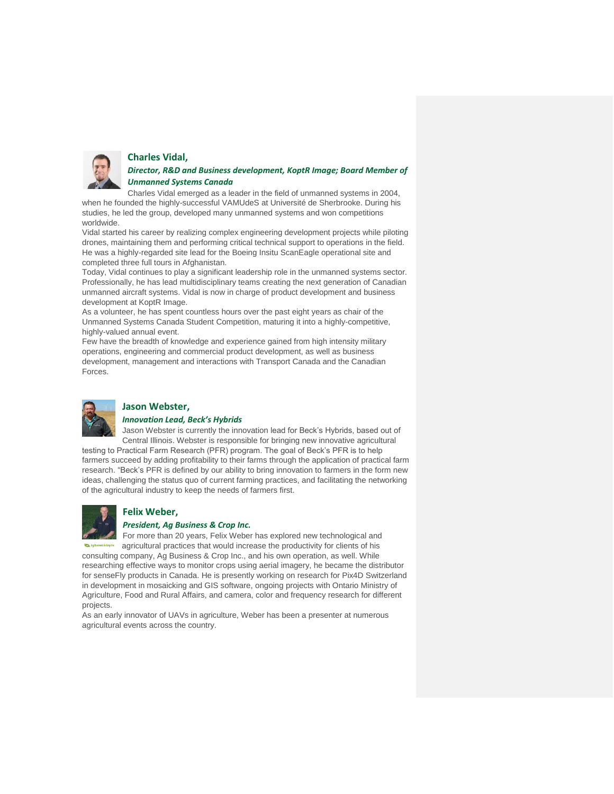

#### **Charles Vidal,**

*Director, R&D and Business development, KoptR Image; Board Member of Unmanned Systems Canada*

Charles Vidal emerged as a leader in the field of unmanned systems in 2004, when he founded the highly-successful VAMUdeS at Université de Sherbrooke. During his studies, he led the group, developed many unmanned systems and won competitions worldwide.

Vidal started his career by realizing complex engineering development projects while piloting drones, maintaining them and performing critical technical support to operations in the field. He was a highly-regarded site lead for the Boeing Insitu ScanEagle operational site and completed three full tours in Afghanistan.

Today, Vidal continues to play a significant leadership role in the unmanned systems sector. Professionally, he has lead multidisciplinary teams creating the next generation of Canadian unmanned aircraft systems. Vidal is now in charge of product development and business development at KoptR Image.

As a volunteer, he has spent countless hours over the past eight years as chair of the Unmanned Systems Canada Student Competition, maturing it into a highly-competitive, highly-valued annual event.

Few have the breadth of knowledge and experience gained from high intensity military operations, engineering and commercial product development, as well as business development, management and interactions with Transport Canada and the Canadian Forces.



#### **Jason Webster,**

#### *Innovation Lead, Beck's Hybrids*

Jason Webster is currently the innovation lead for Beck's Hybrids, based out of Central Illinois. Webster is responsible for bringing new innovative agricultural testing to Practical Farm Research (PFR) program. The goal of Beck's PFR is to help farmers succeed by adding profitability to their farms through the application of practical farm research. "Beck's PFR is defined by our ability to bring innovation to farmers in the form new ideas, challenging the status quo of current farming practices, and facilitating the networking of the agricultural industry to keep the needs of farmers first.



## **Felix Weber,**

#### *President, Ag Business & Crop Inc.*

For more than 20 years, Felix Weber has explored new technological and agricultural practices that would increase the productivity for clients of his consulting company, Ag Business & Crop Inc., and his own operation, as well. While researching effective ways to monitor crops using aerial imagery, he became the distributor for senseFly products in Canada. He is presently working on research for Pix4D Switzerland in development in mosaicking and GIS software, ongoing projects with Ontario Ministry of Agriculture, Food and Rural Affairs, and camera, color and frequency research for different projects.

As an early innovator of UAVs in agriculture, Weber has been a presenter at numerous agricultural events across the country.